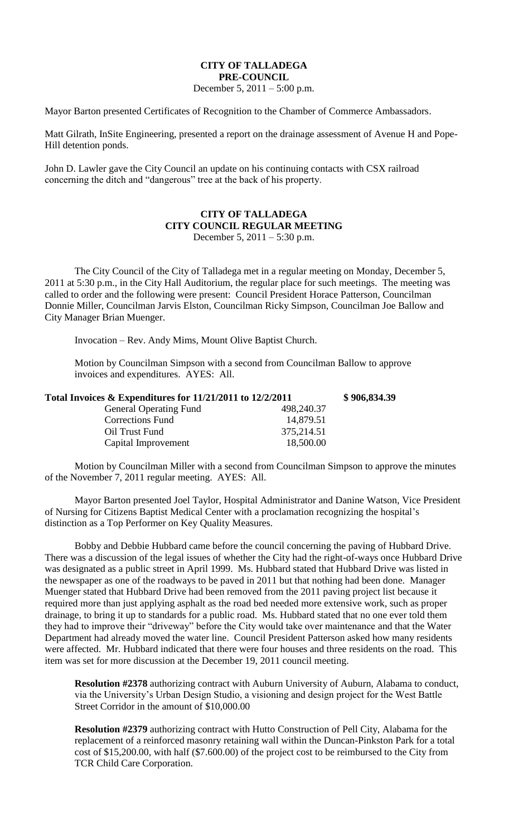## **CITY OF TALLADEGA PRE-COUNCIL**

December 5, 2011 – 5:00 p.m.

Mayor Barton presented Certificates of Recognition to the Chamber of Commerce Ambassadors.

Matt Gilrath, InSite Engineering, presented a report on the drainage assessment of Avenue H and Pope-Hill detention ponds.

John D. Lawler gave the City Council an update on his continuing contacts with CSX railroad concerning the ditch and "dangerous" tree at the back of his property.

## **CITY OF TALLADEGA CITY COUNCIL REGULAR MEETING** December 5, 2011 – 5:30 p.m.

The City Council of the City of Talladega met in a regular meeting on Monday, December 5, 2011 at 5:30 p.m., in the City Hall Auditorium, the regular place for such meetings. The meeting was called to order and the following were present: Council President Horace Patterson, Councilman Donnie Miller, Councilman Jarvis Elston, Councilman Ricky Simpson, Councilman Joe Ballow and City Manager Brian Muenger.

Invocation – Rev. Andy Mims, Mount Olive Baptist Church.

Motion by Councilman Simpson with a second from Councilman Ballow to approve invoices and expenditures. AYES: All.

| Total Invoices $\&$ Expenditures for 11/21/2011 to 12/2/2011 |            | \$906,834.39 |
|--------------------------------------------------------------|------------|--------------|
| <b>General Operating Fund</b>                                | 498,240.37 |              |
| <b>Corrections Fund</b>                                      | 14,879.51  |              |
| Oil Trust Fund                                               | 375,214.51 |              |
| Capital Improvement                                          | 18,500.00  |              |

Motion by Councilman Miller with a second from Councilman Simpson to approve the minutes of the November 7, 2011 regular meeting. AYES: All.

Mayor Barton presented Joel Taylor, Hospital Administrator and Danine Watson, Vice President of Nursing for Citizens Baptist Medical Center with a proclamation recognizing the hospital's distinction as a Top Performer on Key Quality Measures.

Bobby and Debbie Hubbard came before the council concerning the paving of Hubbard Drive. There was a discussion of the legal issues of whether the City had the right-of-ways once Hubbard Drive was designated as a public street in April 1999. Ms. Hubbard stated that Hubbard Drive was listed in the newspaper as one of the roadways to be paved in 2011 but that nothing had been done. Manager Muenger stated that Hubbard Drive had been removed from the 2011 paving project list because it required more than just applying asphalt as the road bed needed more extensive work, such as proper drainage, to bring it up to standards for a public road. Ms. Hubbard stated that no one ever told them they had to improve their "driveway" before the City would take over maintenance and that the Water Department had already moved the water line. Council President Patterson asked how many residents were affected. Mr. Hubbard indicated that there were four houses and three residents on the road. This item was set for more discussion at the December 19, 2011 council meeting.

**Resolution #2378** authorizing contract with Auburn University of Auburn, Alabama to conduct, via the University's Urban Design Studio, a visioning and design project for the West Battle Street Corridor in the amount of \$10,000.00

**Resolution #2379** authorizing contract with Hutto Construction of Pell City, Alabama for the replacement of a reinforced masonry retaining wall within the Duncan-Pinkston Park for a total cost of \$15,200.00, with half (\$7.600.00) of the project cost to be reimbursed to the City from TCR Child Care Corporation.